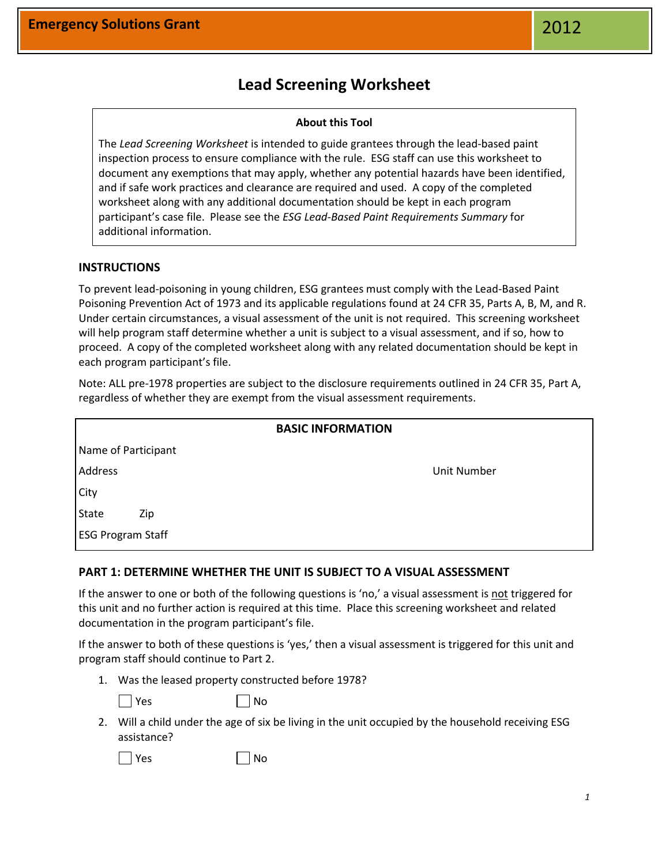# **Lead Screening Worksheet**

#### **About this Tool**

The *Lead Screening Worksheet* is intended to guide grantees through the lead-based paint inspection process to ensure compliance with the rule. ESG staff can use this worksheet to document any exemptions that may apply, whether any potential hazards have been identified, and if safe work practices and clearance are required and used. A copy of the completed worksheet along with any additional documentation should be kept in each program participant's case file. Please see the *ESG Lead-Based Paint Requirements Summary* for additional information.

## **INSTRUCTIONS**

To prevent lead-poisoning in young children, ESG grantees must comply with the Lead-Based Paint Poisoning Prevention Act of 1973 and its applicable regulations found at 24 CFR 35, Parts A, B, M, and R. Under certain circumstances, a visual assessment of the unit is not required. This screening worksheet will help program staff determine whether a unit is subject to a visual assessment, and if so, how to proceed. A copy of the completed worksheet along with any related documentation should be kept in each program participant's file.

Note: ALL pre-1978 properties are subject to the disclosure requirements outlined in 24 CFR 35, Part A, regardless of whether they are exempt from the visual assessment requirements.

| <b>BASIC INFORMATION</b> |             |
|--------------------------|-------------|
| Name of Participant      |             |
| Address                  | Unit Number |
| City                     |             |
| <b>State</b><br>Zip      |             |
| <b>ESG Program Staff</b> |             |

### **PART 1: DETERMINE WHETHER THE UNIT IS SUBJECT TO A VISUAL ASSESSMENT**

If the answer to one or both of the following questions is 'no,' a visual assessment is not triggered for this unit and no further action is required at this time. Place this screening worksheet and related documentation in the program participant's file.

If the answer to both of these questions is 'yes,' then a visual assessment is triggered for this unit and program staff should continue to Part 2.

1. Was the leased property constructed before 1978?

 $\overline{\phantom{a}}$  No

2. Will a child under the age of six be living in the unit occupied by the household receiving ESG assistance?

 $\vert$  Yes  $\vert$   $\vert$  No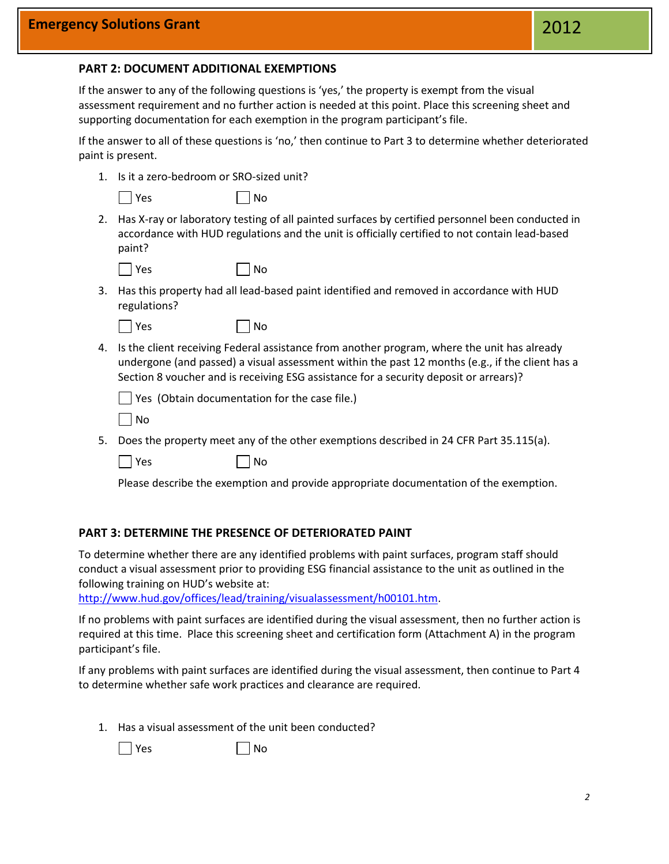#### **PART 2: DOCUMENT ADDITIONAL EXEMPTIONS**

If the answer to any of the following questions is 'yes,' the property is exempt from the visual assessment requirement and no further action is needed at this point. Place this screening sheet and supporting documentation for each exemption in the program participant's file.

If the answer to all of these questions is 'no,' then continue to Part 3 to determine whether deteriorated paint is present.

1. Is it a zero-bedroom or SRO-sized unit?

|  | ۹ |
|--|---|
|--|---|

 $|$  No

2. Has X-ray or laboratory testing of all painted surfaces by certified personnel been conducted in accordance with HUD regulations and the unit is officially certified to not contain lead-based paint?

 $\Box$  No

3. Has this property had all lead-based paint identified and removed in accordance with HUD regulations?

|  | l Yes |  | No |
|--|-------|--|----|
|--|-------|--|----|

4. Is the client receiving Federal assistance from another program, where the unit has already undergone (and passed) a visual assessment within the past 12 months (e.g., if the client has a Section 8 voucher and is receiving ESG assistance for a security deposit or arrears)?

| $\Box$ Yes (Obtain documentation for the case file.) |  |  |
|------------------------------------------------------|--|--|
|------------------------------------------------------|--|--|

5. Does the property meet any of the other exemptions described in 24 CFR Part 35.115(a).

 $\Box$  Yes  $\Box$  No

Please describe the exemption and provide appropriate documentation of the exemption.

#### **PART 3: DETERMINE THE PRESENCE OF DETERIORATED PAINT**

To determine whether there are any identified problems with paint surfaces, program staff should conduct a visual assessment prior to providing ESG financial assistance to the unit as outlined in the following training on HUD's website at:

[http://www.hud.gov/offices/lead/training/visualassessment/h00101.htm.](http://www.hud.gov/offices/lead/training/visualassessment/h00101.htm)

If no problems with paint surfaces are identified during the visual assessment, then no further action is required at this time. Place this screening sheet and certification form (Attachment A) in the program participant's file.

If any problems with paint surfaces are identified during the visual assessment, then continue to Part 4 to determine whether safe work practices and clearance are required.

1. Has a visual assessment of the unit been conducted?

 $\Box$  Yes  $\Box$  No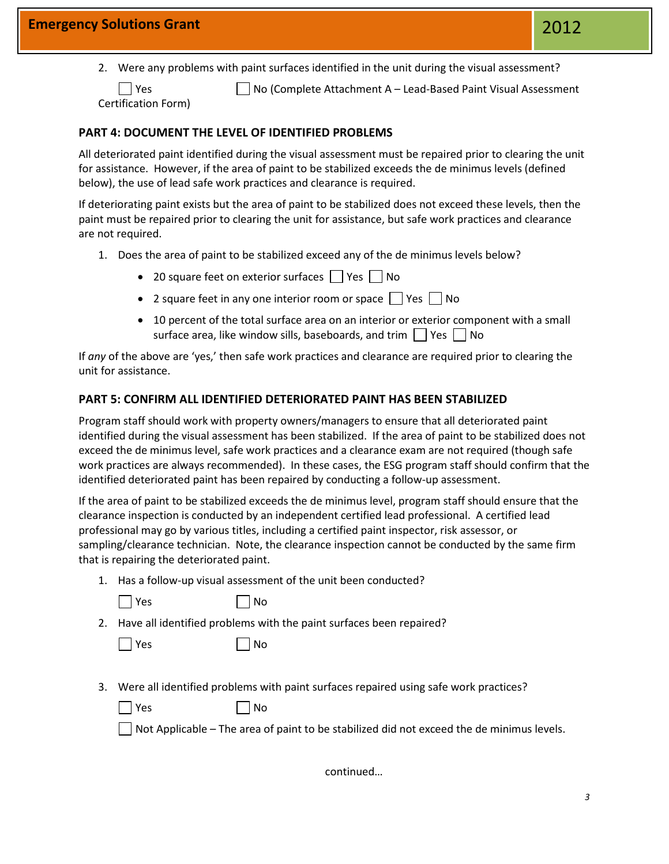2. Were any problems with paint surfaces identified in the unit during the visual assessment?

■ Yes **No (Complete Attachment A – Lead-Based Paint Visual Assessment** 

Certification Form)

# **PART 4: DOCUMENT THE LEVEL OF IDENTIFIED PROBLEMS**

All deteriorated paint identified during the visual assessment must be repaired prior to clearing the unit for assistance. However, if the area of paint to be stabilized exceeds the de minimus levels (defined below), the use of lead safe work practices and clearance is required.

If deteriorating paint exists but the area of paint to be stabilized does not exceed these levels, then the paint must be repaired prior to clearing the unit for assistance, but safe work practices and clearance are not required.

- 1. Does the area of paint to be stabilized exceed any of the de minimus levels below?
	- 20 square feet on exterior surfaces  $\Box$  Yes  $\Box$  No
	- 2 square feet in any one interior room or space  $\Box$  Yes  $\Box$  No
	- 10 percent of the total surface area on an interior or exterior component with a small surface area, like window sills, baseboards, and trim  $\Box$  Yes  $\Box$  No

If *any* of the above are 'yes,' then safe work practices and clearance are required prior to clearing the unit for assistance.

# **PART 5: CONFIRM ALL IDENTIFIED DETERIORATED PAINT HAS BEEN STABILIZED**

Program staff should work with property owners/managers to ensure that all deteriorated paint identified during the visual assessment has been stabilized. If the area of paint to be stabilized does not exceed the de minimus level, safe work practices and a clearance exam are not required (though safe work practices are always recommended). In these cases, the ESG program staff should confirm that the identified deteriorated paint has been repaired by conducting a follow-up assessment.

If the area of paint to be stabilized exceeds the de minimus level, program staff should ensure that the clearance inspection is conducted by an independent certified lead professional. A certified lead professional may go by various titles, including a certified paint inspector, risk assessor, or sampling/clearance technician. Note, the clearance inspection cannot be conducted by the same firm that is repairing the deteriorated paint.

1. Has a follow-up visual assessment of the unit been conducted?

|  | × |
|--|---|
|  |   |

 $\mathsf{S}$  No

| No

2. Have all identified problems with the paint surfaces been repaired?

| Υρς |  |
|-----|--|
|-----|--|

| 3. Were all identified problems with paint surfaces repaired using safe work practices? |
|-----------------------------------------------------------------------------------------|

| Yes | $\Box$ No |
|-----|-----------|
|     |           |

 $\Box$  Not Applicable – The area of paint to be stabilized did not exceed the de minimus levels.

continued…